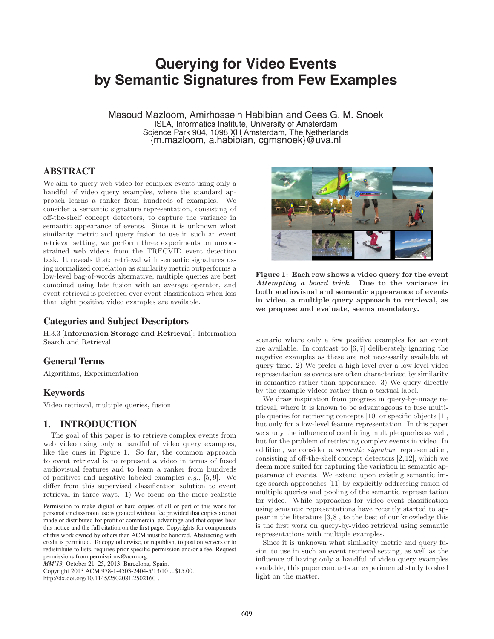# **Querying for Video Events by Semantic Signatures from Few Examples**

Masoud Mazloom, Amirhossein Habibian and Cees G. M. Snoek ISLA, Informatics Institute, University of Amsterdam Science Park 904, 1098 XH Amsterdam, The Netherlands {m.mazloom, a.habibian, cgmsnoek}@uva.nl

# **ABSTRACT**

We aim to query web video for complex events using only a handful of video query examples, where the standard approach learns a ranker from hundreds of examples. We consider a semantic signature representation, consisting of off-the-shelf concept detectors, to capture the variance in semantic appearance of events. Since it is unknown what similarity metric and query fusion to use in such an event retrieval setting, we perform three experiments on unconstrained web videos from the TRECVID event detection task. It reveals that: retrieval with semantic signatures using normalized correlation as similarity metric outperforms a low-level bag-of-words alternative, multiple queries are best combined using late fusion with an average operator, and event retrieval is preferred over event classification when less than eight positive video examples are available.

# **Categories and Subject Descriptors**

H.3.3 [**Information Storage and Retrieval**]: Information Search and Retrieval

# **General Terms**

Algorithms, Experimentation

# **Keywords**

Video retrieval, multiple queries, fusion

# **1. INTRODUCTION**

The goal of this paper is to retrieve complex events from web video using only a handful of video query examples, like the ones in Figure 1. So far, the common approach to event retrieval is to represent a video in terms of fused audiovisual features and to learn a ranker from hundreds of positives and negative labeled examples *e.g.*, [5, 9]. We differ from this supervised classification solution to event retrieval in three ways. 1) We focus on the more realistic

Permission to make digital or hard copies of all or part of this work for personal or classroom use is granted without fee provided that copies are not made or distributed for profit or commercial advantage and that copies bear this notice and the full citation on the first page. Copyrights for components of this work owned by others than ACM must be honored. Abstracting with credit is permitted. To copy otherwise, or republish, to post on servers or to redistribute to lists, requires prior specific permission and/or a fee. Request permissions from permissions@acm.org.

*MM'13,* October 21–25, 2013, Barcelona, Spain.

Copyright 2013 ACM 978-1-4503-2404-5/13/10 ...\$15.00. http://dx.doi.org/10.1145/2502081.2502160 .



**Figure 1: Each row shows a video query for the event** *Attempting a board trick***. Due to the variance in both audiovisual and semantic appearance of events in video, a multiple query approach to retrieval, as we propose and evaluate, seems mandatory.**

scenario where only a few positive examples for an event are available. In contrast to [6, 7] deliberately ignoring the negative examples as these are not necessarily available at query time. 2) We prefer a high-level over a low-level video representation as events are often characterized by similarity in semantics rather than appearance. 3) We query directly by the example videos rather than a textual label.

We draw inspiration from progress in query-by-image retrieval, where it is known to be advantageous to fuse multiple queries for retrieving concepts [10] or specific objects [1], but only for a low-level feature representation. In this paper we study the influence of combining multiple queries as well, but for the problem of retrieving complex events in video. In addition, we consider a *semantic signature* representation, consisting of off-the-shelf concept detectors [2, 12], which we deem more suited for capturing the variation in semantic appearance of events. We extend upon existing semantic image search approaches [11] by explicitly addressing fusion of multiple queries and pooling of the semantic representation for video. While approaches for video event classification using semantic representations have recently started to appear in the literature [3,8], to the best of our knowledge this is the first work on query-by-video retrieval using semantic representations with multiple examples.

Since it is unknown what similarity metric and query fusion to use in such an event retrieval setting, as well as the influence of having only a handful of video query examples available, this paper conducts an experimental study to shed light on the matter.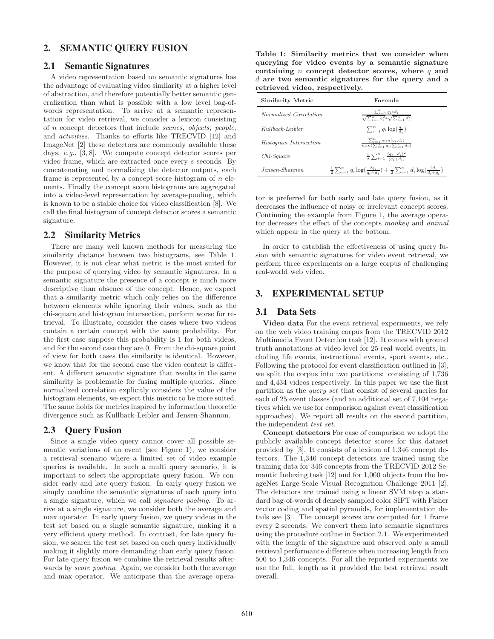# **2. SEMANTIC QUERY FUSION**

### **2.1 Semantic Signatures**

A video representation based on semantic signatures has the advantage of evaluating video similarity at a higher level of abstraction, and therefore potentially better semantic generalization than what is possible with a low level bag-ofwords representation. To arrive at a semantic representation for video retrieval, we consider a lexicon consisting of *n* concept detectors that include *scenes, objects, people*, and *activities*. Thanks to efforts like TRECVID [12] and ImageNet [2] these detectors are commonly available these days, *e.g.*, [3, 8]. We compute concept detector scores per video frame, which are extracted once every *s* seconds. By concatenating and normalizing the detector outputs, each frame is represented by a concept score histogram of *n* elements. Finally the concept score histograms are aggregated into a video-level representation by average-pooling, which is known to be a stable choice for video classification [8]. We call the final histogram of concept detector scores a semantic signature.

#### **2.2 Similarity Metrics**

There are many well known methods for measuring the similarity distance between two histograms, see Table 1. However, it is not clear what metric is the most suited for the purpose of querying video by semantic signatures. In a semantic signature the presence of a concept is much more descriptive than absence of the concept. Hence, we expect that a similarity metric which only relies on the difference between elements while ignoring their values, such as the chi-square and histogram intersection, perform worse for retrieval. To illustrate, consider the cases where two videos contain a certain concept with the same probability. For the first case suppose this probability is 1 for both videos, and for the second case they are 0. From the chi-square point of view for both cases the similarity is identical. However, we know that for the second case the video content is different. A different semantic signature that results in the same similarity is problematic for fusing multiple queries. Since normalized correlation explicitly considers the value of the histogram elements, we expect this metric to be more suited. The same holds for metrics inspired by information theoretic divergence such as Kullback-Leibler and Jensen-Shannon.

#### **2.3 Query Fusion**

Since a single video query cannot cover all possible semantic variations of an event (see Figure 1), we consider a retrieval scenario where a limited set of video example queries is available. In such a multi query scenario, it is important to select the appropriate query fusion. We consider early and late query fusion. In early query fusion we simply combine the semantic signatures of each query into a single signature, which we call *signature pooling*. To arrive at a single signature, we consider both the average and max operator. In early query fusion, we query videos in the test set based on a single semantic signature, making it a very efficient query method. In contrast, for late query fusion, we search the test set based on each query individually making it slightly more demanding than early query fusion. For late query fusion we combine the retrieval results afterwards by *score pooling*. Again, we consider both the average and max operator. We anticipate that the average opera-

**Table 1: Similarity metrics that we consider when querying for video events by a semantic signature containing** *n* **concept detector scores, where** *q* **and** *d* **are two semantic signatures for the query and a retrieved video, respectively.**

| Similarity Metric             | Formula                                                                                                           |
|-------------------------------|-------------------------------------------------------------------------------------------------------------------|
| Normalized Correlation        | $\frac{\sum_{i=1}^{n} q_i * d_i}{\sqrt{\sum_{i=1}^{n} q_i^2} * \sqrt{\sum_{i=1}^{n} d_i^2}}$                      |
| Kullback-Leibler              | $\sum_{i=1}^n q_i \log(\frac{q_i}{d_i})$                                                                          |
| <i>Histogram Intersection</i> | $\frac{\sum_{i=1}^n min(q_i, d_i)}{min(\sum_{i=1}^n q_i, \sum_{i=1}^n d_i)}$                                      |
| $Chi-Square$                  | $\frac{1}{2}\sum_{i=1}^{n}\frac{(q_i-d_i)^2}{(q_i+d_i)^2}$                                                        |
| Jensen-Shannon                | $\frac{1}{2}\sum_{i=1}^n q_i \log(\frac{2q_i}{q_i+d_i}) + \frac{1}{2}\sum_{i=1}^n d_i \log(\frac{2d_i}{d_i+d_i})$ |

tor is preferred for both early and late query fusion, as it decreases the influence of noisy or irrelevant concept scores. Continuing the example from Figure 1, the average operator decreases the effect of the concepts *monkey* and *animal* which appear in the query at the bottom.

In order to establish the effectiveness of using query fusion with semantic signatures for video event retrieval, we perform three experiments on a large corpus of challenging real-world web video.

# **3. EXPERIMENTAL SETUP**

#### **3.1 Data Sets**

**Video data** For the event retrieval experiments, we rely on the web video training corpus from the TRECVID 2012 Multimedia Event Detection task [12]. It comes with ground truth annotations at video level for 25 real-world events, including life events, instructional events, sport events, etc.. Following the protocol for event classification outlined in [3], we split the corpus into two partitions: consisting of 1,736 and 4,434 videos respectively. In this paper we use the first partition as the *query set* that consist of several queries for each of 25 event classes (and an additional set of 7,104 negatives which we use for comparison against event classification approaches). We report all results on the second partition, the independent *test set*.

**Concept detectors** For ease of comparison we adopt the publicly available concept detector scores for this dataset provided by [3]. It consists of a lexicon of 1,346 concept detectors. The 1,346 concept detectors are trained using the training data for 346 concepts from the TRECVID 2012 Semantic Indexing task [12] and for 1,000 objects from the ImageNet Large-Scale Visual Recognition Challenge 2011 [2]. The detectors are trained using a linear SVM atop a standard bag-of-words of densely sampled color SIFT with Fisher vector coding and spatial pyramids, for implementation details see [3]. The concept scores are computed for 1 frame every 2 seconds. We convert them into semantic signatures using the procedure outline in Section 2.1. We experimented with the length of the signature and observed only a small retrieval performance difference when increasing length from 500 to 1,346 concepts. For all the reported experiments we use the full, length as it provided the best retrieval result overall.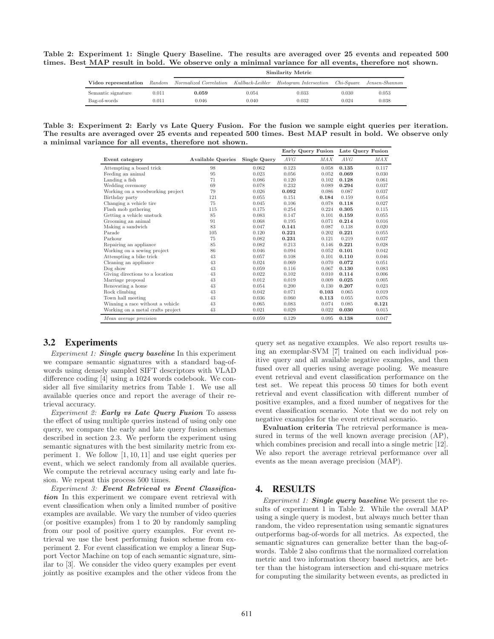**Table 2: Experiment 1: Single Query Baseline. The results are averaged over 25 events and repeated 500 times. Best MAP result in bold. We observe only a minimal variance for all events, therefore not shown.**

|                      |       | Similarity Metric                                                     |       |       |              |                |  |  |
|----------------------|-------|-----------------------------------------------------------------------|-------|-------|--------------|----------------|--|--|
| Video representation |       | Random Normalized Correlation Kullback-Leibler Histogram Intersection |       |       | $Chi-Square$ | Jensen-Shannon |  |  |
| Semantic signature   | 0.011 | 0.059                                                                 | 0.054 | 0.033 | 0.030        | 0.053          |  |  |
| Bag-of-words         | 0.011 | 0.046                                                                 | 0.040 | 0.032 | 0.024        | 0.038          |  |  |

**Table 3: Experiment 2: Early vs Late Query Fusion. For the fusion we sample eight queries per iteration. The results are averaged over 25 events and repeated 500 times. Best MAP result in bold. We observe only a minimal variance for all events, therefore not shown.**

|                                   |                          |              | Early Query Fusion |            | Late Query Fusion |       |
|-----------------------------------|--------------------------|--------------|--------------------|------------|-------------------|-------|
| Event category                    | <b>Available Queries</b> | Single Query | AVG                | <b>MAX</b> | AVG               | MAX   |
| Attempting a board trick          | 98                       | 0.062        | 0.123              | 0.058      | 0.135             | 0.117 |
| Feeding an animal                 | 95                       | 0.023        | 0.056              | 0.052      | 0.069             | 0.030 |
| Landing a fish                    | 71                       | 0.086        | 0.120              | 0.102      | 0.128             | 0.061 |
| Wedding ceremony                  | 69                       | 0.078        | 0.232              | 0.089      | 0.294             | 0.037 |
| Working on a woodworking project  | 79                       | 0.026        | 0.092              | 0.086      | 0.087             | 0.037 |
| Birthday party                    | 121                      | 0.055        | 0.151              | 0.184      | 0.159             | 0.054 |
| Changing a vehicle tire           | 75                       | 0.045        | 0.106              | 0.078      | 0.118             | 0.027 |
| Flash mob gathering               | 115                      | 0.175        | 0.254              | 0.224      | 0.305             | 0.115 |
| Getting a vehicle unstuck         | 85                       | 0.083        | 0.147              | 0.101      | 0.159             | 0.055 |
| Grooming an animal                | 91                       | 0.068        | 0.195              | 0.071      | 0.214             | 0.016 |
| Making a sandwich                 | 83                       | 0.047        | 0.141              | 0.087      | 0.138             | 0.020 |
| Parade                            | 105                      | 0.120        | 0.221              | 0.202      | 0.221             | 0.055 |
| Parkour                           | 75                       | 0.082        | 0.231              | 0.121      | 0.219             | 0.037 |
| Repairing an appliance            | 85                       | 0.082        | 0.213              | 0.146      | 0.221             | 0.028 |
| Working on a sewing project       | 86                       | 0.046        | 0.094              | 0.052      | 0.101             | 0.042 |
| Attempting a bike trick           | 43                       | 0.057        | 0.108              | 0.101      | 0.110             | 0.046 |
| Cleaning an appliance             | 43                       | 0.024        | 0.069              | 0.070      | 0.072             | 0.051 |
| Dog show                          | 43                       | 0.059        | 0.116              | 0.067      | 0.130             | 0.083 |
| Giving directions to a location   | 43                       | 0.022        | 0.102              | 0.010      | 0.114             | 0.006 |
| Marriage proposal                 | 43                       | 0.012        | 0.019              | 0.009      | 0.025             | 0.005 |
| Renovating a home                 | 43                       | 0.054        | 0.200              | 0.130      | 0.207             | 0.023 |
| Rock climbing                     | 43                       | 0.042        | 0.071              | 0.103      | 0.065             | 0.019 |
| Town hall meeting                 | 43                       | 0.036        | 0.060              | 0.113      | 0.055             | 0.076 |
| Winning a race without a vehicle  | 43                       | 0.065        | 0.083              | 0.074      | 0.085             | 0.121 |
| Working on a metal crafts project | 43                       | 0.021        | 0.029              | 0.022      | 0.030             | 0.015 |
| Mean average precision            |                          | 0.059        | 0.129              | 0.095      | 0.138             | 0.047 |

#### **3.2 Experiments**

*Experiment 1: Single query baseline* In this experiment we compare semantic signatures with a standard bag-ofwords using densely sampled SIFT descriptors with VLAD difference coding [4] using a 1024 words codebook. We consider all five similarity metrics from Table 1. We use all available queries once and report the average of their retrieval accuracy.

*Experiment 2: Early vs Late Query Fusion* To assess the effect of using multiple queries instead of using only one query, we compare the early and late query fusion schemes described in section 2.3. We perform the experiment using semantic signatures with the best similarity metric from experiment 1. We follow [1, 10, 11] and use eight queries per event, which we select randomly from all available queries. We compute the retrieval accuracy using early and late fusion. We repeat this process 500 times.

*Experiment 3: Event Retrieval vs Event Classification* In this experiment we compare event retrieval with event classification when only a limited number of positive examples are available. We vary the number of video queries (or positive examples) from 1 to 20 by randomly sampling from our pool of positive query examples. For event retrieval we use the best performing fusion scheme from experiment 2. For event classification we employ a linear Support Vector Machine on top of each semantic signature, similar to [3]. We consider the video query examples per event jointly as positive examples and the other videos from the

query set as negative examples. We also report results using an exemplar-SVM [7] trained on each individual positive query and all available negative examples, and then fused over all queries using average pooling. We measure event retrieval and event classification performance on the test set. We repeat this process 50 times for both event retrieval and event classification with different number of positive examples, and a fixed number of negatives for the event classification scenario. Note that we do not rely on negative examples for the event retrieval scenario.

**Evaluation criteria** The retrieval performance is measured in terms of the well known average precision (AP), which combines precision and recall into a single metric [12]. We also report the average retrieval performance over all events as the mean average precision (MAP).

#### **4. RESULTS**

*Experiment 1: Single query baseline* We present the results of experiment 1 in Table 2. While the overall MAP using a single query is modest, but always much better than random, the video representation using semantic signatures outperforms bag-of-words for all metrics. As expected, the semantic signatures can generalize better than the bag-ofwords. Table 2 also confirms that the normalized correlation metric and two information theory based metrics, are better than the histogram intersection and chi-square metrics for computing the similarity between events, as predicted in